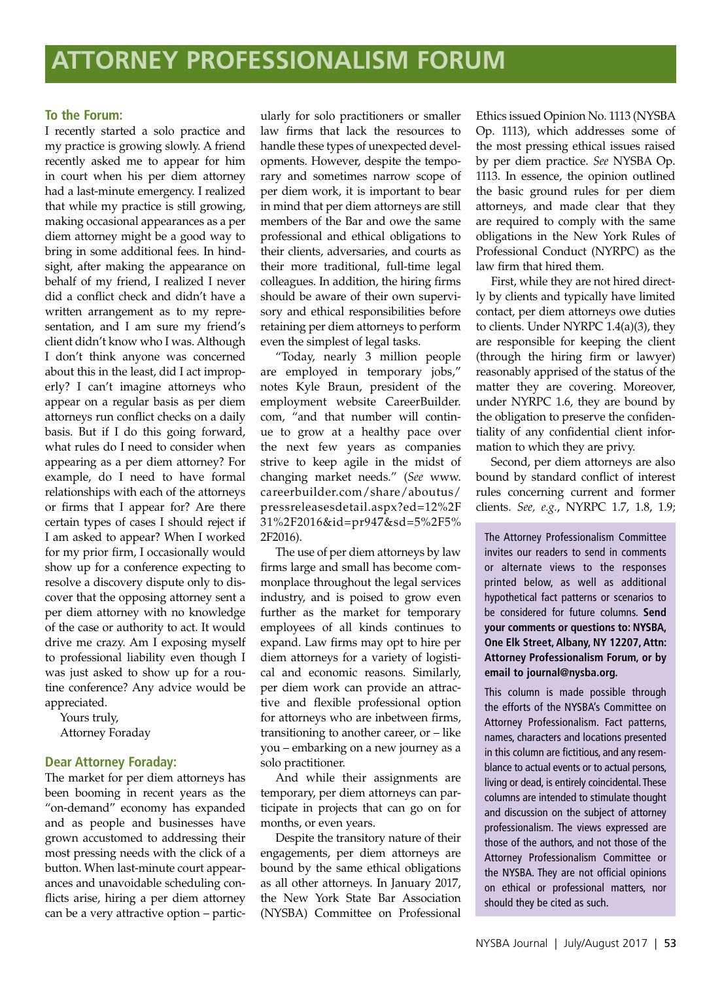### **To the Forum:**

I recently started a solo practice and my practice is growing slowly. A friend recently asked me to appear for him in court when his per diem attorney had a last-minute emergency. I realized that while my practice is still growing, making occasional appearances as a per diem attorney might be a good way to bring in some additional fees. In hindsight, after making the appearance on behalf of my friend, I realized I never did a conflict check and didn't have a written arrangement as to my representation, and I am sure my friend's client didn't know who I was. Although I don't think anyone was concerned about this in the least, did I act improperly? I can't imagine attorneys who appear on a regular basis as per diem attorneys run conflict checks on a daily basis. But if I do this going forward, what rules do I need to consider when appearing as a per diem attorney? For example, do I need to have formal relationships with each of the attorneys or firms that I appear for? Are there certain types of cases I should reject if I am asked to appear? When I worked for my prior firm, I occasionally would show up for a conference expecting to resolve a discovery dispute only to discover that the opposing attorney sent a per diem attorney with no knowledge of the case or authority to act. It would drive me crazy. Am I exposing myself to professional liability even though I was just asked to show up for a routine conference? Any advice would be appreciated.

Yours truly, Attorney Foraday

### **Dear Attorney Foraday:**

The market for per diem attorneys has been booming in recent years as the "on-demand" economy has expanded and as people and businesses have grown accustomed to addressing their most pressing needs with the click of a button. When last-minute court appearances and unavoidable scheduling conflicts arise, hiring a per diem attorney can be a very attractive option – particularly for solo practitioners or smaller law firms that lack the resources to handle these types of unexpected developments. However, despite the temporary and sometimes narrow scope of per diem work, it is important to bear in mind that per diem attorneys are still members of the Bar and owe the same professional and ethical obligations to their clients, adversaries, and courts as their more traditional, full-time legal colleagues. In addition, the hiring firms should be aware of their own supervisory and ethical responsibilities before retaining per diem attorneys to perform even the simplest of legal tasks.

"Today, nearly 3 million people are employed in temporary jobs," notes Kyle Braun, president of the employment website CareerBuilder. com, "and that number will continue to grow at a healthy pace over the next few years as companies strive to keep agile in the midst of changing market needs." (*See* www. careerbuilder.com/share/aboutus/ pressreleasesdetail.aspx?ed=12%2F 31%2F2016&id=pr947&sd=5%2F5% 2F2016).

The use of per diem attorneys by law firms large and small has become commonplace throughout the legal services industry, and is poised to grow even further as the market for temporary employees of all kinds continues to expand. Law firms may opt to hire per diem attorneys for a variety of logistical and economic reasons. Similarly, per diem work can provide an attractive and flexible professional option for attorneys who are inbetween firms, transitioning to another career, or – like you – embarking on a new journey as a solo practitioner.

And while their assignments are temporary, per diem attorneys can participate in projects that can go on for months, or even years.

Despite the transitory nature of their engagements, per diem attorneys are bound by the same ethical obligations as all other attorneys. In January 2017, the New York State Bar Association (NYSBA) Committee on Professional

Ethics issued Opinion No. 1113 (NYSBA Op. 1113), which addresses some of the most pressing ethical issues raised by per diem practice. *See* NYSBA Op. 1113. In essence, the opinion outlined the basic ground rules for per diem attorneys, and made clear that they are required to comply with the same obligations in the New York Rules of Professional Conduct (NYRPC) as the law firm that hired them.

First, while they are not hired directly by clients and typically have limited contact, per diem attorneys owe duties to clients. Under NYRPC 1.4(a)(3), they are responsible for keeping the client (through the hiring firm or lawyer) reasonably apprised of the status of the matter they are covering. Moreover, under NYRPC 1.6, they are bound by the obligation to preserve the confidentiality of any confidential client information to which they are privy.

Second, per diem attorneys are also bound by standard conflict of interest rules concerning current and former clients. *See, e.g.*, NYRPC 1.7, 1.8, 1.9;

The Attorney Professionalism Committee invites our readers to send in comments or alternate views to the responses printed below, as well as additional hypothetical fact patterns or scenarios to be considered for future columns. **Send your comments or questions to: NYSBA, One Elk Street, Albany, NY 12207, Attn: Attorney Professionalism Forum, or by email to journal@nysba.org.** 

This column is made possible through the efforts of the NYSBA's Committee on Attorney Professionalism. Fact patterns, names, characters and locations presented in this column are fictitious, and any resemblance to actual events or to actual persons, living or dead, is entirely coincidental. These columns are intended to stimulate thought and discussion on the subject of attorney professionalism. The views expressed are those of the authors, and not those of the Attorney Professionalism Committee or the NYSBA. They are not official opinions on ethical or professional matters, nor should they be cited as such.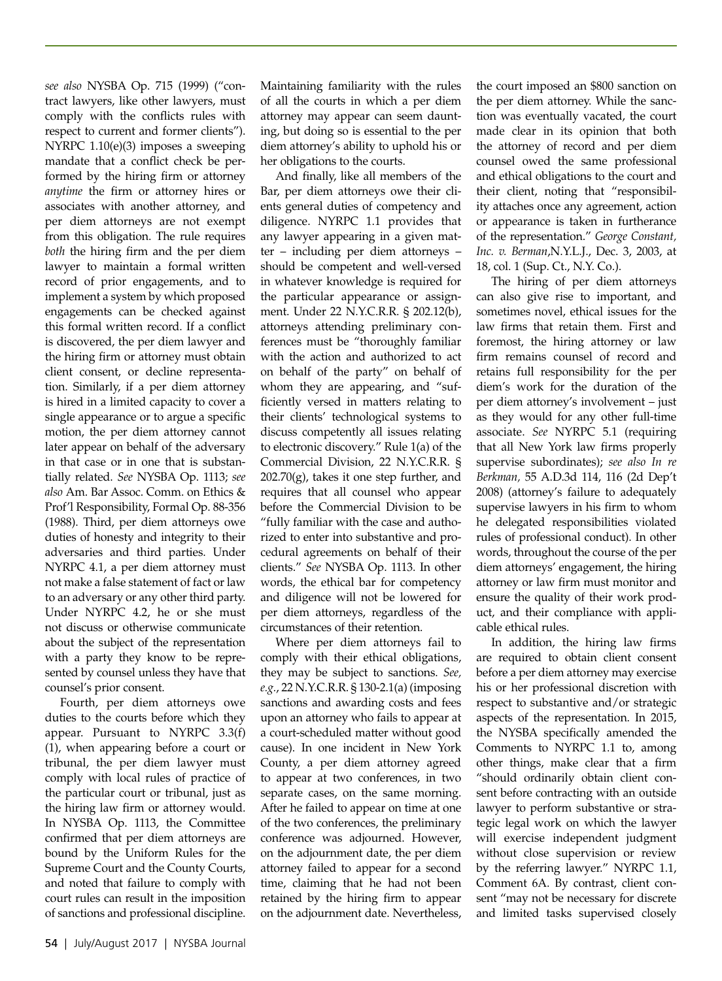*see also* NYSBA Op. 715 (1999) ("contract lawyers, like other lawyers, must comply with the conflicts rules with respect to current and former clients"). NYRPC 1.10(e)(3) imposes a sweeping mandate that a conflict check be performed by the hiring firm or attorney *anytime* the firm or attorney hires or associates with another attorney, and per diem attorneys are not exempt from this obligation. The rule requires *both* the hiring firm and the per diem lawyer to maintain a formal written record of prior engagements, and to implement a system by which proposed engagements can be checked against this formal written record. If a conflict is discovered, the per diem lawyer and the hiring firm or attorney must obtain client consent, or decline representation. Similarly, if a per diem attorney is hired in a limited capacity to cover a single appearance or to argue a specific motion, the per diem attorney cannot later appear on behalf of the adversary in that case or in one that is substantially related. *See* NYSBA Op. 1113; *see also* Am. Bar Assoc. Comm. on Ethics & Prof'l Responsibility, Formal Op. 88-356 (1988). Third, per diem attorneys owe duties of honesty and integrity to their adversaries and third parties. Under NYRPC 4.1, a per diem attorney must not make a false statement of fact or law to an adversary or any other third party. Under NYRPC 4.2, he or she must not discuss or otherwise communicate about the subject of the representation with a party they know to be represented by counsel unless they have that counsel's prior consent.

Fourth, per diem attorneys owe duties to the courts before which they appear. Pursuant to NYRPC 3.3(f) (1), when appearing before a court or tribunal, the per diem lawyer must comply with local rules of practice of the particular court or tribunal, just as the hiring law firm or attorney would. In NYSBA Op. 1113, the Committee confirmed that per diem attorneys are bound by the Uniform Rules for the Supreme Court and the County Courts, and noted that failure to comply with court rules can result in the imposition of sanctions and professional discipline.

Maintaining familiarity with the rules of all the courts in which a per diem attorney may appear can seem daunting, but doing so is essential to the per diem attorney's ability to uphold his or her obligations to the courts.

And finally, like all members of the Bar, per diem attorneys owe their clients general duties of competency and diligence. NYRPC 1.1 provides that any lawyer appearing in a given matter – including per diem attorneys – should be competent and well-versed in whatever knowledge is required for the particular appearance or assignment. Under 22 N.Y.C.R.R. § 202.12(b), attorneys attending preliminary conferences must be "thoroughly familiar with the action and authorized to act on behalf of the party" on behalf of whom they are appearing, and "sufficiently versed in matters relating to their clients' technological systems to discuss competently all issues relating to electronic discovery." Rule 1(a) of the Commercial Division, 22 N.Y.C.R.R. §  $202.70(g)$ , takes it one step further, and requires that all counsel who appear before the Commercial Division to be "fully familiar with the case and authorized to enter into substantive and procedural agreements on behalf of their clients." *See* NYSBA Op. 1113. In other words, the ethical bar for competency and diligence will not be lowered for per diem attorneys, regardless of the circumstances of their retention.

Where per diem attorneys fail to comply with their ethical obligations, they may be subject to sanctions. *See, e.g.*, 22 N.Y.C.R.R. § 130-2.1(a) (imposing sanctions and awarding costs and fees upon an attorney who fails to appear at a court-scheduled matter without good cause). In one incident in New York County, a per diem attorney agreed to appear at two conferences, in two separate cases, on the same morning. After he failed to appear on time at one of the two conferences, the preliminary conference was adjourned. However, on the adjournment date, the per diem attorney failed to appear for a second time, claiming that he had not been retained by the hiring firm to appear on the adjournment date. Nevertheless,

the court imposed an \$800 sanction on the per diem attorney. While the sanction was eventually vacated, the court made clear in its opinion that both the attorney of record and per diem counsel owed the same professional and ethical obligations to the court and their client, noting that "responsibility attaches once any agreement, action or appearance is taken in furtherance of the representation." *George Constant, Inc. v. Berman*,N.Y.L.J., Dec. 3, 2003, at 18, col. 1 (Sup. Ct., N.Y. Co.).

The hiring of per diem attorneys can also give rise to important, and sometimes novel, ethical issues for the law firms that retain them. First and foremost, the hiring attorney or law firm remains counsel of record and retains full responsibility for the per diem's work for the duration of the per diem attorney's involvement – just as they would for any other full-time associate. *See* NYRPC 5.1 (requiring that all New York law firms properly supervise subordinates); *see also In re Berkman,* 55 A.D.3d 114, 116 (2d Dep't 2008) (attorney's failure to adequately supervise lawyers in his firm to whom he delegated responsibilities violated rules of professional conduct). In other words, throughout the course of the per diem attorneys' engagement, the hiring attorney or law firm must monitor and ensure the quality of their work product, and their compliance with applicable ethical rules.

In addition, the hiring law firms are required to obtain client consent before a per diem attorney may exercise his or her professional discretion with respect to substantive and/or strategic aspects of the representation. In 2015, the NYSBA specifically amended the Comments to NYRPC 1.1 to, among other things, make clear that a firm "should ordinarily obtain client consent before contracting with an outside lawyer to perform substantive or strategic legal work on which the lawyer will exercise independent judgment without close supervision or review by the referring lawyer." NYRPC 1.1, Comment 6A. By contrast, client consent "may not be necessary for discrete and limited tasks supervised closely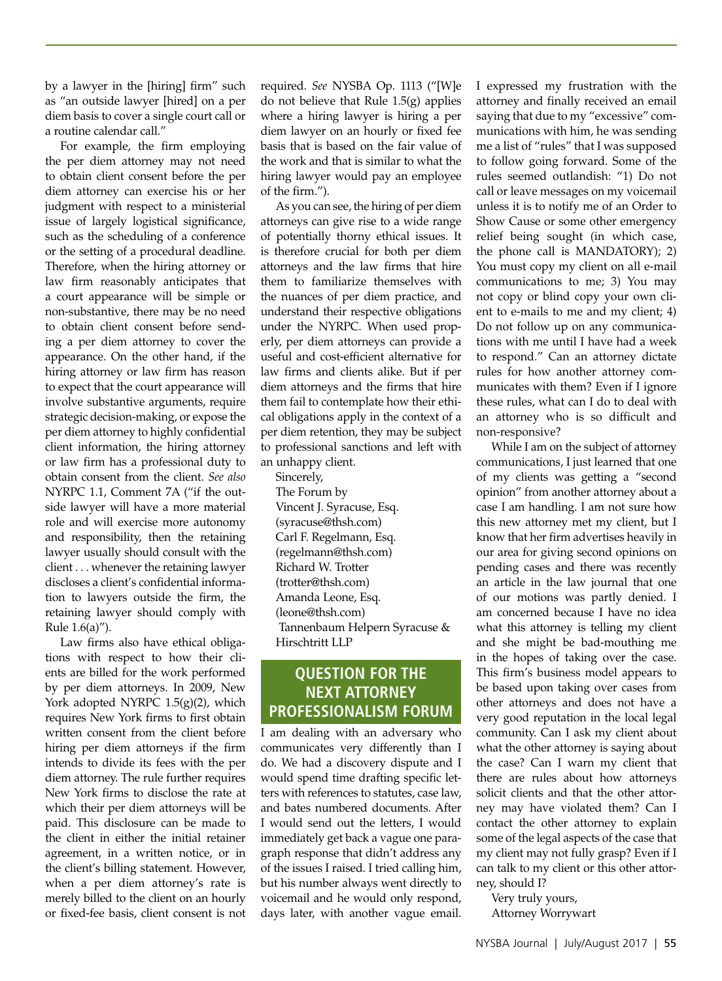by a lawyer in the [hiring] firm" such as "an outside lawyer [hired] on a per diem basis to cover a single court call or a routine calendar call."

For example, the firm employing the per diem attorney may not need to obtain client consent before the per diem attorney can exercise his or her judgment with respect to a ministerial issue of largely logistical significance, such as the scheduling of a conference or the setting of a procedural deadline. Therefore, when the hiring attorney or law firm reasonably anticipates that a court appearance will be simple or non-substantive, there may be no need to obtain client consent before sending a per diem attorney to cover the appearance. On the other hand, if the hiring attorney or law firm has reason to expect that the court appearance will involve substantive arguments, require strategic decision-making, or expose the per diem attorney to highly confidential client information, the hiring attorney or law firm has a professional duty to obtain consent from the client. *See also*  NYRPC 1.1, Comment 7A ("if the outside lawyer will have a more material role and will exercise more autonomy and responsibility, then the retaining lawyer usually should consult with the client . . . whenever the retaining lawyer discloses a client's confidential information to lawyers outside the firm, the retaining lawyer should comply with Rule 1.6(a)").

Law firms also have ethical obligations with respect to how their clients are billed for the work performed by per diem attorneys. In 2009, New York adopted NYRPC 1.5(g)(2), which requires New York firms to first obtain written consent from the client before hiring per diem attorneys if the firm intends to divide its fees with the per diem attorney. The rule further requires New York firms to disclose the rate at which their per diem attorneys will be paid. This disclosure can be made to the client in either the initial retainer agreement, in a written notice, or in the client's billing statement. However, when a per diem attorney's rate is merely billed to the client on an hourly or fixed-fee basis, client consent is not required. *See* NYSBA Op. 1113 ("[W]e do not believe that Rule 1.5(g) applies where a hiring lawyer is hiring a per diem lawyer on an hourly or fixed fee basis that is based on the fair value of the work and that is similar to what the hiring lawyer would pay an employee of the firm.").

As you can see, the hiring of per diem attorneys can give rise to a wide range of potentially thorny ethical issues. It is therefore crucial for both per diem attorneys and the law firms that hire them to familiarize themselves with the nuances of per diem practice, and understand their respective obligations under the NYRPC. When used properly, per diem attorneys can provide a useful and cost-efficient alternative for law firms and clients alike. But if per diem attorneys and the firms that hire them fail to contemplate how their ethical obligations apply in the context of a per diem retention, they may be subject to professional sanctions and left with an unhappy client.

Sincerely, The Forum by Vincent J. Syracuse, Esq. (syracuse@thsh.com) Carl F. Regelmann, Esq. (regelmann@thsh.com) Richard W. Trotter (trotter@thsh.com) Amanda Leone, Esq. (leone@thsh.com) Tannenbaum Helpern Syracuse & Hirschtritt LLP

# **QUESTION FOR THE NEXT ATTORNEY PROFESSIONALISM FORUM**

I am dealing with an adversary who communicates very differently than I do. We had a discovery dispute and I would spend time drafting specific letters with references to statutes, case law, and bates numbered documents. After I would send out the letters, I would immediately get back a vague one paragraph response that didn't address any of the issues I raised. I tried calling him, but his number always went directly to voicemail and he would only respond, days later, with another vague email. I expressed my frustration with the attorney and finally received an email saying that due to my "excessive" communications with him, he was sending me a list of "rules" that I was supposed to follow going forward. Some of the rules seemed outlandish: "1) Do not call or leave messages on my voicemail unless it is to notify me of an Order to Show Cause or some other emergency relief being sought (in which case, the phone call is MANDATORY); 2) You must copy my client on all e-mail communications to me; 3) You may not copy or blind copy your own client to e-mails to me and my client; 4) Do not follow up on any communications with me until I have had a week to respond." Can an attorney dictate rules for how another attorney communicates with them? Even if I ignore these rules, what can I do to deal with an attorney who is so difficult and non-responsive?

While I am on the subject of attorney communications, I just learned that one of my clients was getting a "second opinion" from another attorney about a case I am handling. I am not sure how this new attorney met my client, but I know that her firm advertises heavily in our area for giving second opinions on pending cases and there was recently an article in the law journal that one of our motions was partly denied. I am concerned because I have no idea what this attorney is telling my client and she might be bad-mouthing me in the hopes of taking over the case. This firm's business model appears to be based upon taking over cases from other attorneys and does not have a very good reputation in the local legal community. Can I ask my client about what the other attorney is saying about the case? Can I warn my client that there are rules about how attorneys solicit clients and that the other attorney may have violated them? Can I contact the other attorney to explain some of the legal aspects of the case that my client may not fully grasp? Even if I can talk to my client or this other attorney, should I?

Very truly yours, Attorney Worrywart